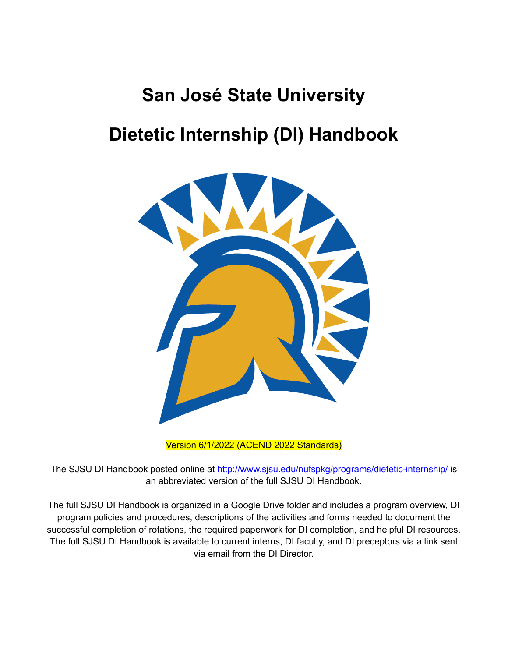# **San José State University Dietetic Internship (DI) Handbook**



Version 6/1/2022 (ACEND 2022 Standards)

The SJSU DI Handbook posted online at <http://www.sjsu.edu/nufspkg/programs/dietetic-internship/> is an abbreviated version of the full SJSU DI Handbook.

The full SJSU DI Handbook is organized in a Google Drive folder and includes a program overview, DI program policies and procedures, descriptions of the activities and forms needed to document the successful completion of rotations, the required paperwork for DI completion, and helpful DI resources. The full SJSU DI Handbook is available to current interns, DI faculty, and DI preceptors via a link sent via email from the DI Director.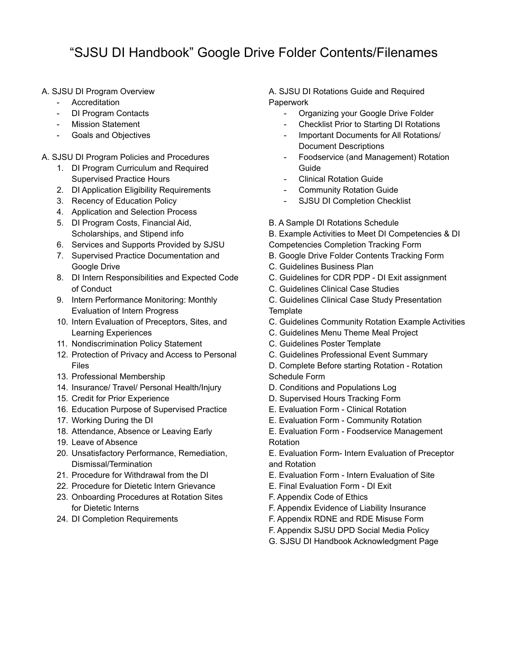### "SJSU DI Handbook" Google Drive Folder Contents/Filenames

- A. SJSU DI Program Overview
	- Accreditation
	- DI Program Contacts
	- **Mission Statement**
	- Goals and Objectives
- A. SJSU DI Program Policies and Procedures
	- 1. DI Program Curriculum and Required Supervised Practice Hours
	- 2. DI Application Eligibility Requirements
	- 3. Recency of Education Policy
	- 4. Application and Selection Process
	- 5. DI Program Costs, Financial Aid, Scholarships, and Stipend info
	- 6. Services and Supports Provided by SJSU
	- 7. Supervised Practice Documentation and Google Drive
	- 8. DI Intern Responsibilities and Expected Code of Conduct
	- 9. Intern Performance Monitoring: Monthly Evaluation of Intern Progress
	- 10. Intern Evaluation of Preceptors, Sites, and Learning Experiences
	- 11. Nondiscrimination Policy Statement
	- 12. Protection of Privacy and Access to Personal Files
	- 13. Professional Membership
	- 14. Insurance/ Travel/ Personal Health/Injury
	- 15. Credit for Prior Experience
	- 16. Education Purpose of Supervised Practice
	- 17. Working During the DI
	- 18. Attendance, Absence or Leaving Early
	- 19. Leave of Absence
	- 20. Unsatisfactory Performance, Remediation, Dismissal/Termination
	- 21. Procedure for Withdrawal from the DI
	- 22. Procedure for Dietetic Intern Grievance
	- 23. Onboarding Procedures at Rotation Sites for Dietetic Interns
	- 24. DI Completion Requirements

A. SJSU DI Rotations Guide and Required **Paperwork** 

- Organizing your Google Drive Folder
- Checklist Prior to Starting DI Rotations
- Important Documents for All Rotations/ Document Descriptions
- Foodservice (and Management) Rotation Guide
- Clinical Rotation Guide
- Community Rotation Guide
- SJSU DI Completion Checklist
- B. A Sample DI Rotations Schedule

B. Example Activities to Meet DI Competencies & DI

- Competencies Completion Tracking Form
- B. Google Drive Folder Contents Tracking Form
- C. Guidelines Business Plan
- C. Guidelines for CDR PDP DI Exit assignment
- C. Guidelines Clinical Case Studies

C. Guidelines Clinical Case Study Presentation **Template** 

- C. Guidelines Community Rotation Example Activities
- C. Guidelines Menu Theme Meal Project
- C. Guidelines Poster Template
- C. Guidelines Professional Event Summary
- D. Complete Before starting Rotation Rotation Schedule Form
- D. Conditions and Populations Log
- D. Supervised Hours Tracking Form
- E. Evaluation Form Clinical Rotation
- E. Evaluation Form Community Rotation
- E. Evaluation Form Foodservice Management Rotation
- E. Evaluation Form- Intern Evaluation of Preceptor and Rotation
- E. Evaluation Form Intern Evaluation of Site
- E. Final Evaluation Form DI Exit
- F. Appendix Code of Ethics
- F. Appendix Evidence of Liability Insurance
- F. Appendix RDNE and RDE Misuse Form
- F. Appendix SJSU DPD Social Media Policy
- G. SJSU DI Handbook Acknowledgment Page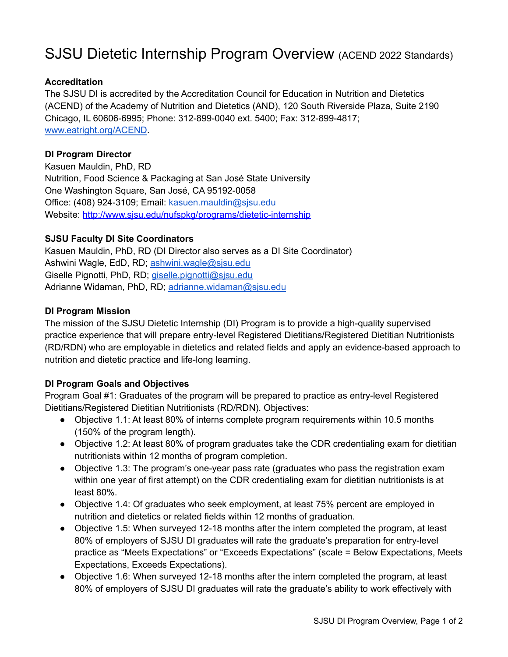## SJSU Dietetic Internship Program Overview (ACEND 2022 Standards)

### **Accreditation**

The SJSU DI is accredited by the Accreditation Council for Education in Nutrition and Dietetics (ACEND) of the Academy of Nutrition and Dietetics (AND), 120 South Riverside Plaza, Suite 2190 Chicago, IL 60606-6995; Phone: 312-899-0040 ext. 5400; Fax: 312-899-4817; [www.eatright.org/ACEND](http://www.eatright.org/ACEND).

### **DI Program Director**

Kasuen Mauldin, PhD, RD Nutrition, Food Science & Packaging at San José State University One Washington Square, San José, CA 95192-0058 Office: (408) 924-3109; Email: [kasuen.mauldin@sjsu.edu](mailto:kasuen.mauldin@sjsu.edu) Website: <http://www.sjsu.edu/nufspkg/programs/dietetic-internship>

### **SJSU Faculty DI Site Coordinators**

Kasuen Mauldin, PhD, RD (DI Director also serves as a DI Site Coordinator) Ashwini Wagle, EdD, RD; [ashwini.wagle@sjsu.edu](mailto:ashwini.wagle@sjsu.edu) Giselle Pignotti, PhD, RD; [giselle.pignotti@sjsu.edu](mailto:giselle.pignotti@sjsu.edu) Adrianne Widaman, PhD, RD; [adrianne.widaman@sjsu.edu](mailto:adrianne.widaman@sjsu.edu)

### **DI Program Mission**

The mission of the SJSU Dietetic Internship (DI) Program is to provide a high-quality supervised practice experience that will prepare entry-level Registered Dietitians/Registered Dietitian Nutritionists (RD/RDN) who are employable in dietetics and related fields and apply an evidence-based approach to nutrition and dietetic practice and life-long learning.

### **DI Program Goals and Objectives**

Program Goal #1: Graduates of the program will be prepared to practice as entry-level Registered Dietitians/Registered Dietitian Nutritionists (RD/RDN). Objectives:

- Objective 1.1: At least 80% of interns complete program requirements within 10.5 months (150% of the program length).
- Objective 1.2: At least 80% of program graduates take the CDR credentialing exam for dietitian nutritionists within 12 months of program completion.
- Objective 1.3: The program's one-year pass rate (graduates who pass the registration exam within one year of first attempt) on the CDR credentialing exam for dietitian nutritionists is at least 80%.
- Objective 1.4: Of graduates who seek employment, at least 75% percent are employed in nutrition and dietetics or related fields within 12 months of graduation.
- Objective 1.5: When surveyed 12-18 months after the intern completed the program, at least 80% of employers of SJSU DI graduates will rate the graduate's preparation for entry-level practice as "Meets Expectations" or "Exceeds Expectations" (scale = Below Expectations, Meets Expectations, Exceeds Expectations).
- Objective 1.6: When surveyed 12-18 months after the intern completed the program, at least 80% of employers of SJSU DI graduates will rate the graduate's ability to work effectively with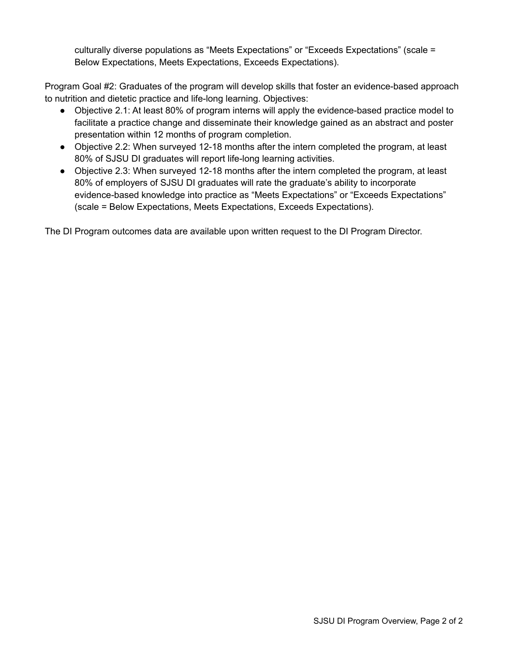culturally diverse populations as "Meets Expectations" or "Exceeds Expectations" (scale = Below Expectations, Meets Expectations, Exceeds Expectations).

Program Goal #2: Graduates of the program will develop skills that foster an evidence-based approach to nutrition and dietetic practice and life-long learning. Objectives:

- Objective 2.1: At least 80% of program interns will apply the evidence-based practice model to facilitate a practice change and disseminate their knowledge gained as an abstract and poster presentation within 12 months of program completion.
- Objective 2.2: When surveyed 12-18 months after the intern completed the program, at least 80% of SJSU DI graduates will report life-long learning activities.
- Objective 2.3: When surveyed 12-18 months after the intern completed the program, at least 80% of employers of SJSU DI graduates will rate the graduate's ability to incorporate evidence-based knowledge into practice as "Meets Expectations" or "Exceeds Expectations" (scale = Below Expectations, Meets Expectations, Exceeds Expectations).

The DI Program outcomes data are available upon written request to the DI Program Director.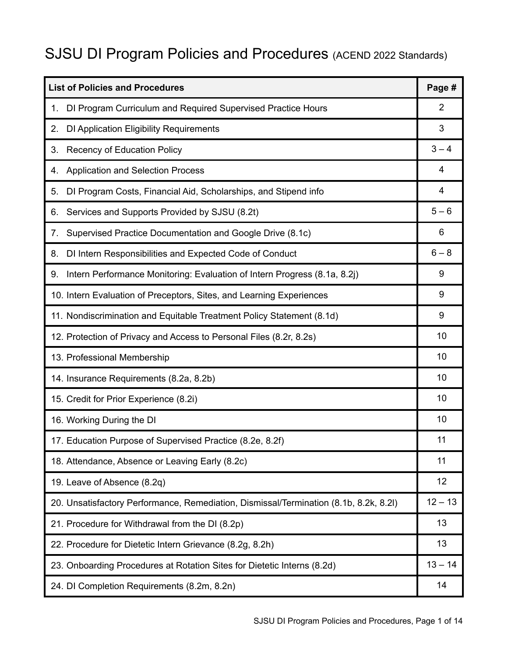# SJSU DI Program Policies and Procedures (ACEND 2022 Standards)

| <b>List of Policies and Procedures</b>                                                |           |  |
|---------------------------------------------------------------------------------------|-----------|--|
| DI Program Curriculum and Required Supervised Practice Hours<br>1.                    | 2         |  |
| DI Application Eligibility Requirements<br>2.                                         | 3         |  |
| <b>Recency of Education Policy</b><br>3.                                              | $3 - 4$   |  |
| <b>Application and Selection Process</b><br>4.                                        | 4         |  |
| DI Program Costs, Financial Aid, Scholarships, and Stipend info<br>5.                 | 4         |  |
| Services and Supports Provided by SJSU (8.2t)<br>6.                                   | $5 - 6$   |  |
| Supervised Practice Documentation and Google Drive (8.1c)<br>7.                       | 6         |  |
| DI Intern Responsibilities and Expected Code of Conduct<br>8.                         | $6 - 8$   |  |
| Intern Performance Monitoring: Evaluation of Intern Progress (8.1a, 8.2j)<br>9.       | 9         |  |
| 10. Intern Evaluation of Preceptors, Sites, and Learning Experiences                  | 9         |  |
| 11. Nondiscrimination and Equitable Treatment Policy Statement (8.1d)                 | 9         |  |
| 12. Protection of Privacy and Access to Personal Files (8.2r, 8.2s)                   |           |  |
| 13. Professional Membership                                                           |           |  |
| 14. Insurance Requirements (8.2a, 8.2b)                                               |           |  |
| 15. Credit for Prior Experience (8.2i)                                                |           |  |
| 16. Working During the DI                                                             |           |  |
| 17. Education Purpose of Supervised Practice (8.2e, 8.2f)                             |           |  |
| 18. Attendance, Absence or Leaving Early (8.2c)                                       |           |  |
| 19. Leave of Absence (8.2q)                                                           | 12        |  |
| 20. Unsatisfactory Performance, Remediation, Dismissal/Termination (8.1b, 8.2k, 8.2l) | $12 - 13$ |  |
| 21. Procedure for Withdrawal from the DI (8.2p)                                       | 13        |  |
| 22. Procedure for Dietetic Intern Grievance (8.2g, 8.2h)                              | 13        |  |
| 23. Onboarding Procedures at Rotation Sites for Dietetic Interns (8.2d)               | $13 - 14$ |  |
| 24. DI Completion Requirements (8.2m, 8.2n)                                           | 14        |  |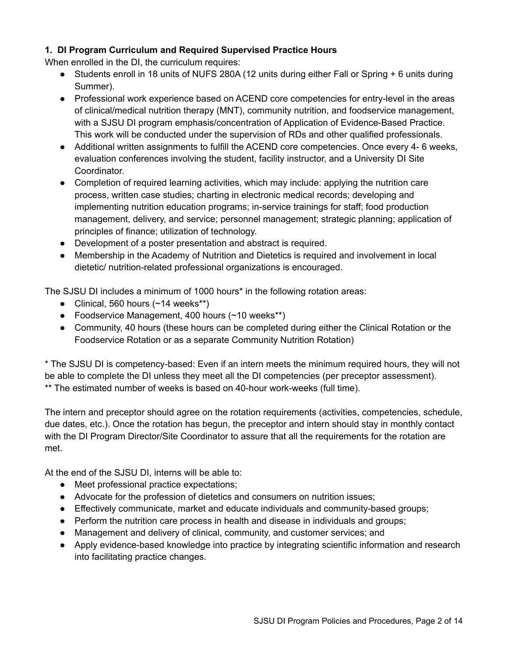### **1. DI Program Curriculum and Required Supervised Practice Hours**

When enrolled in the DI, the curriculum requires:

- Students enroll in 18 units of NUFS 280A (12 units during either Fall or Spring + 6 units during Summer).
- Professional work experience based on ACEND core competencies for entry-level in the areas of clinical/medical nutrition therapy (MNT), community nutrition, and foodservice management, with a SJSU DI program emphasis/concentration of Application of Evidence-Based Practice. This work will be conducted under the supervision of RDs and other qualified professionals.
- Additional written assignments to fulfill the ACEND core competencies. Once every 4- 6 weeks, evaluation conferences involving the student, facility instructor, and a University DI Site Coordinator.
- Completion of required learning activities, which may include: applying the nutrition care process, written case studies; charting in electronic medical records; developing and implementing nutrition education programs; in-service trainings for staff; food production management, delivery, and service; personnel management; strategic planning; application of principles of finance; utilization of technology.
- Development of a poster presentation and abstract is required.
- Membership in the Academy of Nutrition and Dietetics is required and involvement in local dietetic/ nutrition-related professional organizations is encouraged.

The SJSU DI includes a minimum of 1000 hours\* in the following rotation areas:

- Clinical, 560 hours  $(~14$  weeks\*\*)
- Foodservice Management, 400 hours (~10 weeks\*\*)
- Community, 40 hours (these hours can be completed during either the Clinical Rotation or the Foodservice Rotation or as a separate Community Nutrition Rotation)

\* The SJSU DI is competency-based: Even if an intern meets the minimum required hours, they will not be able to complete the DI unless they meet all the DI competencies (per preceptor assessment). \*\* The estimated number of weeks is based on 40-hour work-weeks (full time).

The intern and preceptor should agree on the rotation requirements (activities, competencies, schedule, due dates, etc.). Once the rotation has begun, the preceptor and intern should stay in monthly contact with the DI Program Director/Site Coordinator to assure that all the requirements for the rotation are met.

At the end of the SJSU DI, interns will be able to:

- Meet professional practice expectations;
- Advocate for the profession of dietetics and consumers on nutrition issues;
- Effectively communicate, market and educate individuals and community-based groups;
- Perform the nutrition care process in health and disease in individuals and groups;
- Management and delivery of clinical, community, and customer services; and
- Apply evidence-based knowledge into practice by integrating scientific information and research into facilitating practice changes.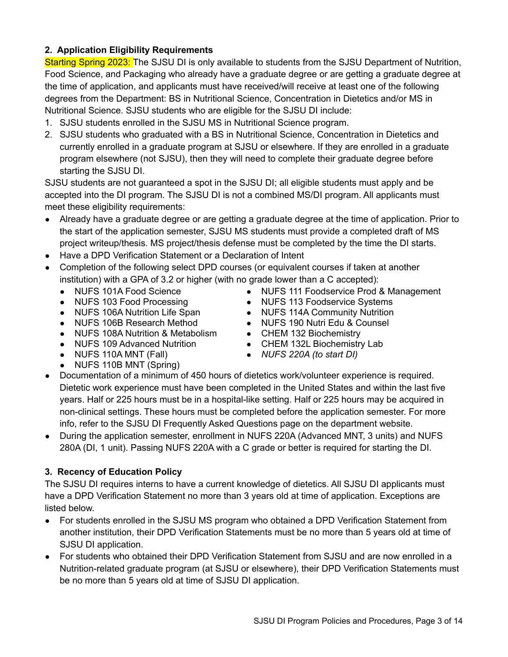### **2. Application Eligibility Requirements**

Starting Spring 2023: The SJSU DI is only available to students from the SJSU Department of Nutrition, Food Science, and Packaging who already have a graduate degree or are getting a graduate degree at the time of application, and applicants must have received/will receive at least one of the following degrees from the Department: BS in Nutritional Science, Concentration in Dietetics and/or MS in Nutritional Science. SJSU students who are eligible for the SJSU DI include:

- 1. SJSU students enrolled in the SJSU MS in Nutritional Science program.
- 2. SJSU students who graduated with a BS in Nutritional Science, Concentration in Dietetics and currently enrolled in a graduate program at SJSU or elsewhere. If they are enrolled in a graduate program elsewhere (not SJSU), then they will need to complete their graduate degree before starting the SJSU DI.

SJSU students are not guaranteed a spot in the SJSU DI; all eligible students must apply and be accepted into the DI program. The SJSU DI is not a combined MS/DI program. All applicants must meet these eligibility requirements:

- Already have a graduate degree or are getting a graduate degree at the time of application. Prior to the start of the application semester, SJSU MS students must provide a completed draft of MS project writeup/thesis. MS project/thesis defense must be completed by the time the DI starts.
- Have a DPD Verification Statement or a Declaration of Intent
- Completion of the following select DPD courses (or equivalent courses if taken at another institution) with a GPA of 3.2 or higher (with no grade lower than a C accepted):
	- NUFS 101A Food Science
	- NUFS 103 Food Processing
	- NUFS 106A Nutrition Life Span
	- NUFS 106B Research Method
	- NUFS 108A Nutrition & Metabolism
	- NUFS 109 Advanced Nutrition
	- NUFS 110A MNT (Fall)
	- NUFS 110B MNT (Spring)
- NUFS 111 Foodservice Prod & Management
- NUFS 113 Foodservice Systems
- NUFS 114A Community Nutrition
- NUFS 190 Nutri Edu & Counsel
- CHEM 132 Biochemistry
- CHEM 132L Biochemistry Lab
- *NUFS 220A (to start DI)*
- Documentation of a minimum of 450 hours of dietetics work/volunteer experience is required. Dietetic work experience must have been completed in the United States and within the last five years. Half or 225 hours must be in a hospital-like setting. Half or 225 hours may be acquired in non-clinical settings. These hours must be completed before the application semester. For more info, refer to the SJSU DI Frequently Asked Questions page on the department website.
- *●* During the application semester, enrollment in NUFS 220A (Advanced MNT, 3 units) and NUFS 280A (DI, 1 unit). Passing NUFS 220A with a C grade or better is required for starting the DI.

### **3. Recency of Education Policy**

The SJSU DI requires interns to have a current knowledge of dietetics. All SJSU DI applicants must have a DPD Verification Statement no more than 3 years old at time of application. Exceptions are listed below.

- For students enrolled in the SJSU MS program who obtained a DPD Verification Statement from another institution, their DPD Verification Statements must be no more than 5 years old at time of SJSU DI application.
- For students who obtained their DPD Verification Statement from SJSU and are now enrolled in a Nutrition-related graduate program (at SJSU or elsewhere), their DPD Verification Statements must be no more than 5 years old at time of SJSU DI application.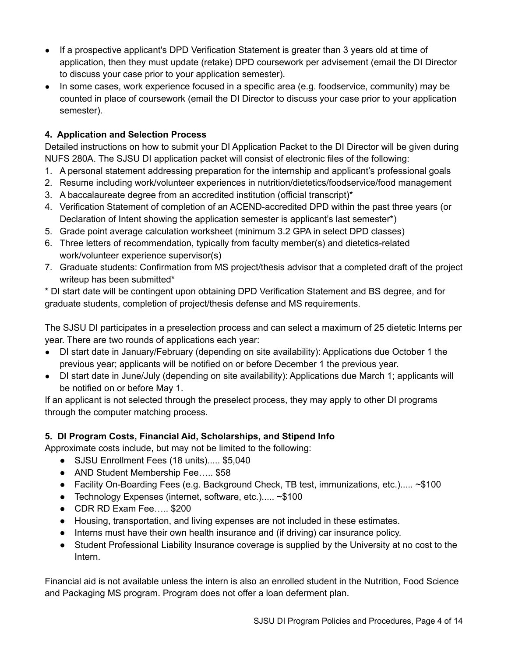- If a prospective applicant's DPD Verification Statement is greater than 3 years old at time of application, then they must update (retake) DPD coursework per advisement (email the DI Director to discuss your case prior to your application semester).
- In some cases, work experience focused in a specific area (e.g. foodservice, community) may be counted in place of coursework (email the DI Director to discuss your case prior to your application semester).

### **4. Application and Selection Process**

Detailed instructions on how to submit your DI Application Packet to the DI Director will be given during NUFS 280A. The SJSU DI application packet will consist of electronic files of the following:

- 1. A personal statement addressing preparation for the internship and applicant's professional goals
- 2. Resume including work/volunteer experiences in nutrition/dietetics/foodservice/food management
- 3. A baccalaureate degree from an accredited institution (official transcript)\*
- 4. Verification Statement of completion of an ACEND-accredited DPD within the past three years (or Declaration of Intent showing the application semester is applicant's last semester\*)
- 5. Grade point average calculation worksheet (minimum 3.2 GPA in select DPD classes)
- 6. Three letters of recommendation, typically from faculty member(s) and dietetics-related work/volunteer experience supervisor(s)
- 7. Graduate students: Confirmation from MS project/thesis advisor that a completed draft of the project writeup has been submitted\*

\* DI start date will be contingent upon obtaining DPD Verification Statement and BS degree, and for graduate students, completion of project/thesis defense and MS requirements.

The SJSU DI participates in a preselection process and can select a maximum of 25 dietetic Interns per year. There are two rounds of applications each year:

- DI start date in January/February (depending on site availability): Applications due October 1 the previous year; applicants will be notified on or before December 1 the previous year.
- DI start date in June/July (depending on site availability): Applications due March 1; applicants will be notified on or before May 1.

If an applicant is not selected through the preselect process, they may apply to other DI programs through the computer matching process.

### **5. DI Program Costs, Financial Aid, Scholarships, and Stipend Info**

Approximate costs include, but may not be limited to the following:

- SJSU Enrollment Fees (18 units)..... \$5,040
- AND Student Membership Fee….. \$58
- Facility On-Boarding Fees (e.g. Background Check, TB test, immunizations, etc.)..... ~\$100
- Technology Expenses (internet, software, etc.)..... ~\$100
- CDR RD Exam Fee….. \$200
- Housing, transportation, and living expenses are not included in these estimates.
- Interns must have their own health insurance and (if driving) car insurance policy.
- Student Professional Liability Insurance coverage is supplied by the University at no cost to the Intern.

Financial aid is not available unless the intern is also an enrolled student in the Nutrition, Food Science and Packaging MS program. Program does not offer a loan deferment plan.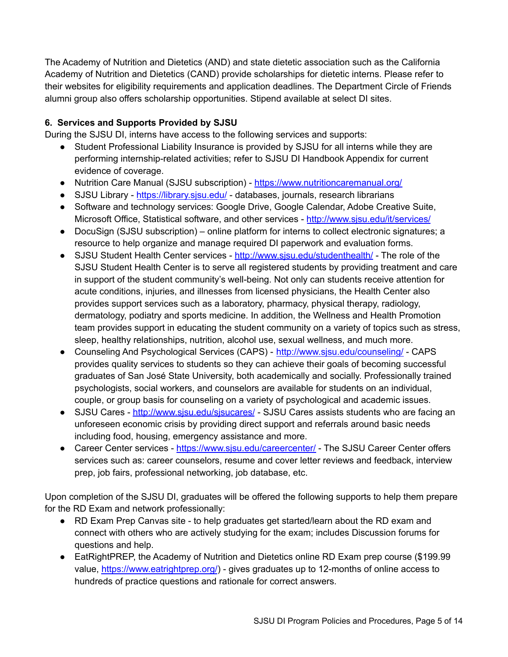The Academy of Nutrition and Dietetics (AND) and state dietetic association such as the California Academy of Nutrition and Dietetics (CAND) provide scholarships for dietetic interns. Please refer to their websites for eligibility requirements and application deadlines. The Department Circle of Friends alumni group also offers scholarship opportunities. Stipend available at select DI sites.

### **6. Services and Supports Provided by SJSU**

During the SJSU DI, interns have access to the following services and supports:

- Student Professional Liability Insurance is provided by SJSU for all interns while they are performing internship-related activities; refer to SJSU DI Handbook Appendix for current evidence of coverage.
- Nutrition Care Manual (SJSU subscription) <https://www.nutritioncaremanual.org/>
- SJSU Library <https://library.sjsu.edu/> databases, journals, research librarians
- Software and technology services: Google Drive, Google Calendar, Adobe Creative Suite, Microsoft Office, Statistical software, and other services - <http://www.sjsu.edu/it/services/>
- DocuSign (SJSU subscription) online platform for interns to collect electronic signatures; a resource to help organize and manage required DI paperwork and evaluation forms.
- SJSU Student Health Center services http://www.sisu.edu/studenthealth/ The role of the SJSU Student Health Center is to serve all registered students by providing treatment and care in support of the student community's well-being. Not only can students receive attention for acute conditions, injuries, and illnesses from licensed physicians, the Health Center also provides support services such as a laboratory, pharmacy, physical therapy, radiology, dermatology, podiatry and sports medicine. In addition, the Wellness and Health Promotion team provides support in educating the student community on a variety of topics such as stress, sleep, healthy relationships, nutrition, alcohol use, sexual wellness, and much more.
- Counseling And Psychological Services (CAPS) <http://www.sjsu.edu/counseling/> CAPS provides quality services to students so they can achieve their goals of becoming successful graduates of San José State University, both academically and socially. Professionally trained psychologists, social workers, and counselors are available for students on an individual, couple, or group basis for counseling on a variety of psychological and academic issues.
- SJSU Cares http://www.sisu.edu/sisucares/ SJSU Cares assists students who are facing an unforeseen economic crisis by providing direct support and referrals around basic needs including food, housing, emergency assistance and more.
- Career Center services https://www.sisu.edu/careercenter/ The SJSU Career Center offers services such as: career counselors, resume and cover letter reviews and feedback, interview prep, job fairs, professional networking, job database, etc.

Upon completion of the SJSU DI, graduates will be offered the following supports to help them prepare for the RD Exam and network professionally:

- RD Exam Prep Canvas site to help graduates get started/learn about the RD exam and connect with others who are actively studying for the exam; includes Discussion forums for questions and help.
- EatRightPREP, the Academy of Nutrition and Dietetics online RD Exam prep course (\$199.99 value, <https://www.eatrightprep.org/>) - gives graduates up to 12-months of online access to hundreds of practice questions and rationale for correct answers.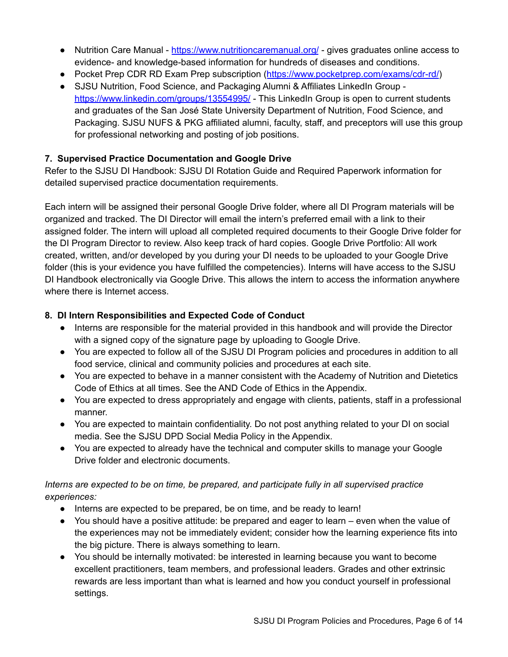- Nutrition Care Manual <https://www.nutritioncaremanual.org/> gives graduates online access to evidence- and knowledge-based information for hundreds of diseases and conditions.
- Pocket Prep CDR RD Exam Prep subscription (<https://www.pocketprep.com/exams/cdr-rd/>)
- SJSU Nutrition, Food Science, and Packaging Alumni & Affiliates LinkedIn Group <https://www.linkedin.com/groups/13554995/> - This LinkedIn Group is open to current students and graduates of the San José State University Department of Nutrition, Food Science, and Packaging. SJSU NUFS & PKG affiliated alumni, faculty, staff, and preceptors will use this group for professional networking and posting of job positions.

### **7. Supervised Practice Documentation and Google Drive**

Refer to the SJSU DI Handbook: SJSU DI Rotation Guide and Required Paperwork information for detailed supervised practice documentation requirements.

Each intern will be assigned their personal Google Drive folder, where all DI Program materials will be organized and tracked. The DI Director will email the intern's preferred email with a link to their assigned folder. The intern will upload all completed required documents to their Google Drive folder for the DI Program Director to review. Also keep track of hard copies. Google Drive Portfolio: All work created, written, and/or developed by you during your DI needs to be uploaded to your Google Drive folder (this is your evidence you have fulfilled the competencies). Interns will have access to the SJSU DI Handbook electronically via Google Drive. This allows the intern to access the information anywhere where there is Internet access.

### **8. DI Intern Responsibilities and Expected Code of Conduct**

- Interns are responsible for the material provided in this handbook and will provide the Director with a signed copy of the signature page by uploading to Google Drive.
- You are expected to follow all of the SJSU DI Program policies and procedures in addition to all food service, clinical and community policies and procedures at each site.
- You are expected to behave in a manner consistent with the Academy of Nutrition and Dietetics Code of Ethics at all times. See the AND Code of Ethics in the Appendix.
- You are expected to dress appropriately and engage with clients, patients, staff in a professional manner.
- You are expected to maintain confidentiality. Do not post anything related to your DI on social media. See the SJSU DPD Social Media Policy in the Appendix.
- You are expected to already have the technical and computer skills to manage your Google Drive folder and electronic documents.

### *Interns are expected to be on time, be prepared, and participate fully in all supervised practice experiences:*

- Interns are expected to be prepared, be on time, and be ready to learn!
- You should have a positive attitude: be prepared and eager to learn even when the value of the experiences may not be immediately evident; consider how the learning experience fits into the big picture. There is always something to learn.
- You should be internally motivated: be interested in learning because you want to become excellent practitioners, team members, and professional leaders. Grades and other extrinsic rewards are less important than what is learned and how you conduct yourself in professional settings.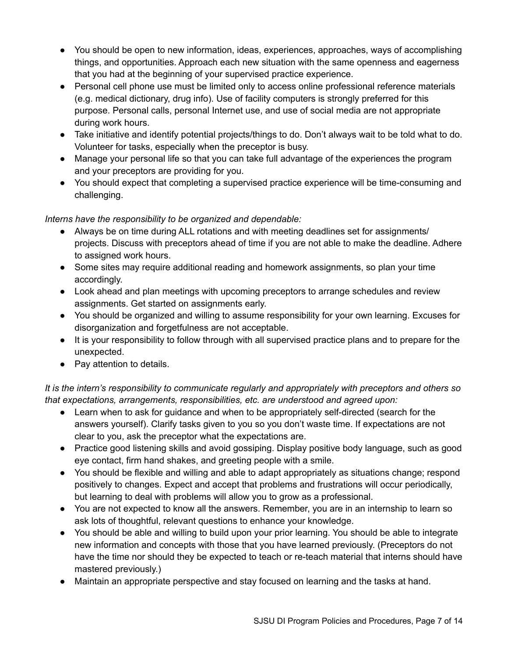- You should be open to new information, ideas, experiences, approaches, ways of accomplishing things, and opportunities. Approach each new situation with the same openness and eagerness that you had at the beginning of your supervised practice experience.
- Personal cell phone use must be limited only to access online professional reference materials (e.g. medical dictionary, drug info). Use of facility computers is strongly preferred for this purpose. Personal calls, personal Internet use, and use of social media are not appropriate during work hours.
- Take initiative and identify potential projects/things to do. Don't always wait to be told what to do. Volunteer for tasks, especially when the preceptor is busy.
- Manage your personal life so that you can take full advantage of the experiences the program and your preceptors are providing for you.
- You should expect that completing a supervised practice experience will be time-consuming and challenging.

*Interns have the responsibility to be organized and dependable:*

- Always be on time during ALL rotations and with meeting deadlines set for assignments/ projects. Discuss with preceptors ahead of time if you are not able to make the deadline. Adhere to assigned work hours.
- Some sites may require additional reading and homework assignments, so plan your time accordingly.
- Look ahead and plan meetings with upcoming preceptors to arrange schedules and review assignments. Get started on assignments early.
- You should be organized and willing to assume responsibility for your own learning. Excuses for disorganization and forgetfulness are not acceptable.
- It is your responsibility to follow through with all supervised practice plans and to prepare for the unexpected.
- Pay attention to details.

*It is the intern's responsibility to communicate regularly and appropriately with preceptors and others so that expectations, arrangements, responsibilities, etc. are understood and agreed upon:*

- Learn when to ask for guidance and when to be appropriately self-directed (search for the answers yourself). Clarify tasks given to you so you don't waste time. If expectations are not clear to you, ask the preceptor what the expectations are.
- Practice good listening skills and avoid gossiping. Display positive body language, such as good eye contact, firm hand shakes, and greeting people with a smile.
- You should be flexible and willing and able to adapt appropriately as situations change; respond positively to changes. Expect and accept that problems and frustrations will occur periodically, but learning to deal with problems will allow you to grow as a professional.
- You are not expected to know all the answers. Remember, you are in an internship to learn so ask lots of thoughtful, relevant questions to enhance your knowledge.
- You should be able and willing to build upon your prior learning. You should be able to integrate new information and concepts with those that you have learned previously. (Preceptors do not have the time nor should they be expected to teach or re-teach material that interns should have mastered previously.)
- Maintain an appropriate perspective and stay focused on learning and the tasks at hand.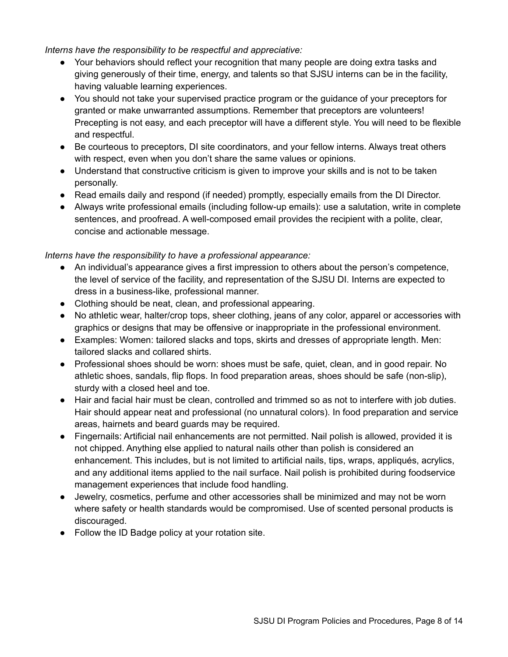*Interns have the responsibility to be respectful and appreciative:*

- Your behaviors should reflect your recognition that many people are doing extra tasks and giving generously of their time, energy, and talents so that SJSU interns can be in the facility, having valuable learning experiences.
- You should not take your supervised practice program or the guidance of your preceptors for granted or make unwarranted assumptions. Remember that preceptors are volunteers! Precepting is not easy, and each preceptor will have a different style. You will need to be flexible and respectful.
- Be courteous to preceptors, DI site coordinators, and your fellow interns. Always treat others with respect, even when you don't share the same values or opinions.
- Understand that constructive criticism is given to improve your skills and is not to be taken personally.
- Read emails daily and respond (if needed) promptly, especially emails from the DI Director.
- Always write professional emails (including follow-up emails): use a salutation, write in complete sentences, and proofread. A well-composed email provides the recipient with a polite, clear, concise and actionable message.

### *Interns have the responsibility to have a professional appearance:*

- An individual's appearance gives a first impression to others about the person's competence, the level of service of the facility, and representation of the SJSU DI. Interns are expected to dress in a business-like, professional manner.
- Clothing should be neat, clean, and professional appearing.
- No athletic wear, halter/crop tops, sheer clothing, jeans of any color, apparel or accessories with graphics or designs that may be offensive or inappropriate in the professional environment.
- Examples: Women: tailored slacks and tops, skirts and dresses of appropriate length. Men: tailored slacks and collared shirts.
- Professional shoes should be worn: shoes must be safe, quiet, clean, and in good repair. No athletic shoes, sandals, flip flops. In food preparation areas, shoes should be safe (non-slip), sturdy with a closed heel and toe.
- Hair and facial hair must be clean, controlled and trimmed so as not to interfere with job duties. Hair should appear neat and professional (no unnatural colors). In food preparation and service areas, hairnets and beard guards may be required.
- Fingernails: Artificial nail enhancements are not permitted. Nail polish is allowed, provided it is not chipped. Anything else applied to natural nails other than polish is considered an enhancement. This includes, but is not limited to artificial nails, tips, wraps, appliqués, acrylics, and any additional items applied to the nail surface. Nail polish is prohibited during foodservice management experiences that include food handling.
- Jewelry, cosmetics, perfume and other accessories shall be minimized and may not be worn where safety or health standards would be compromised. Use of scented personal products is discouraged.
- Follow the ID Badge policy at your rotation site.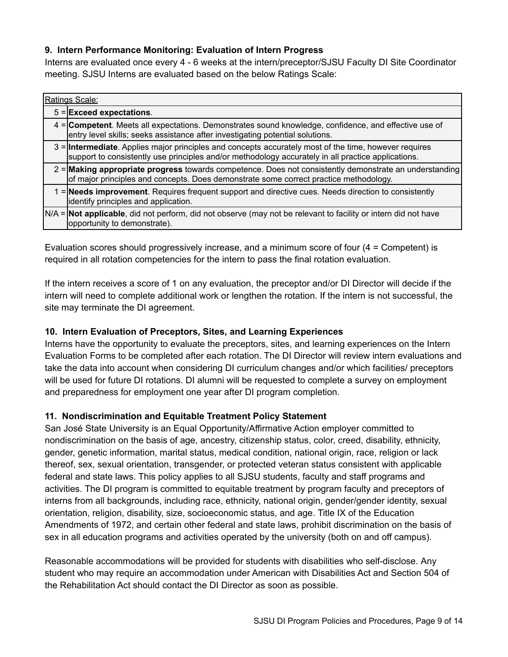### **9. Intern Performance Monitoring: Evaluation of Intern Progress**

Interns are evaluated once every 4 - 6 weeks at the intern/preceptor/SJSU Faculty DI Site Coordinator meeting. SJSU Interns are evaluated based on the below Ratings Scale:

| Ratings Scale: |                                                                                                                                                                                                                     |  |  |  |  |
|----------------|---------------------------------------------------------------------------------------------------------------------------------------------------------------------------------------------------------------------|--|--|--|--|
|                | $5 =$ Exceed expectations.                                                                                                                                                                                          |  |  |  |  |
|                | 4 = Competent. Meets all expectations. Demonstrates sound knowledge, confidence, and effective use of<br>entry level skills; seeks assistance after investigating potential solutions.                              |  |  |  |  |
|                | 3 = <b>Intermediate</b> . Applies major principles and concepts accurately most of the time, however requires<br>support to consistently use principles and/or methodology accurately in all practice applications. |  |  |  |  |
|                | $2$ = Making appropriate progress towards competence. Does not consistently demonstrate an understanding<br>of major principles and concepts. Does demonstrate some correct practice methodology.                   |  |  |  |  |
|                | 1 = Needs improvement. Requires frequent support and directive cues. Needs direction to consistently<br>lidentify principles and application.                                                                       |  |  |  |  |
|                | N/A = Not applicable, did not perform, did not observe (may not be relevant to facility or intern did not have<br>opportunity to demonstrate).                                                                      |  |  |  |  |

Evaluation scores should progressively increase, and a minimum score of four (4 = Competent) is required in all rotation competencies for the intern to pass the final rotation evaluation.

If the intern receives a score of 1 on any evaluation, the preceptor and/or DI Director will decide if the intern will need to complete additional work or lengthen the rotation. If the intern is not successful, the site may terminate the DI agreement.

### **10. Intern Evaluation of Preceptors, Sites, and Learning Experiences**

Interns have the opportunity to evaluate the preceptors, sites, and learning experiences on the Intern Evaluation Forms to be completed after each rotation. The DI Director will review intern evaluations and take the data into account when considering DI curriculum changes and/or which facilities/ preceptors will be used for future DI rotations. DI alumni will be requested to complete a survey on employment and preparedness for employment one year after DI program completion.

### **11. Nondiscrimination and Equitable Treatment Policy Statement**

San José State University is an Equal Opportunity/Affirmative Action employer committed to nondiscrimination on the basis of age, ancestry, citizenship status, color, creed, disability, ethnicity, gender, genetic information, marital status, medical condition, national origin, race, religion or lack thereof, sex, sexual orientation, transgender, or protected veteran status consistent with applicable federal and state laws. This policy applies to all SJSU students, faculty and staff programs and activities. The DI program is committed to equitable treatment by program faculty and preceptors of interns from all backgrounds, including race, ethnicity, national origin, gender/gender identity, sexual orientation, religion, disability, size, socioeconomic status, and age. Title IX of the Education Amendments of 1972, and certain other federal and state laws, prohibit discrimination on the basis of sex in all education programs and activities operated by the university (both on and off campus).

Reasonable accommodations will be provided for students with disabilities who self-disclose. Any student who may require an accommodation under American with Disabilities Act and Section 504 of the Rehabilitation Act should contact the DI Director as soon as possible.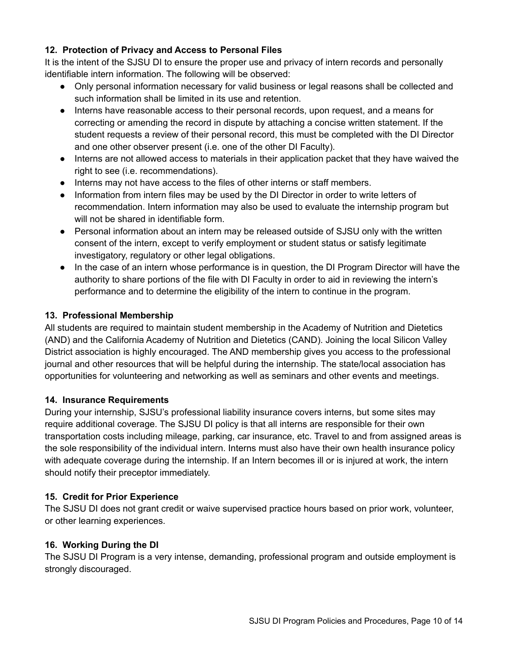### **12. Protection of Privacy and Access to Personal Files**

It is the intent of the SJSU DI to ensure the proper use and privacy of intern records and personally identifiable intern information. The following will be observed:

- Only personal information necessary for valid business or legal reasons shall be collected and such information shall be limited in its use and retention.
- Interns have reasonable access to their personal records, upon request, and a means for correcting or amending the record in dispute by attaching a concise written statement. If the student requests a review of their personal record, this must be completed with the DI Director and one other observer present (i.e. one of the other DI Faculty).
- Interns are not allowed access to materials in their application packet that they have waived the right to see (i.e. recommendations).
- Interns may not have access to the files of other interns or staff members.
- Information from intern files may be used by the DI Director in order to write letters of recommendation. Intern information may also be used to evaluate the internship program but will not be shared in identifiable form.
- Personal information about an intern may be released outside of SJSU only with the written consent of the intern, except to verify employment or student status or satisfy legitimate investigatory, regulatory or other legal obligations.
- In the case of an intern whose performance is in question, the DI Program Director will have the authority to share portions of the file with DI Faculty in order to aid in reviewing the intern's performance and to determine the eligibility of the intern to continue in the program.

### **13. Professional Membership**

All students are required to maintain student membership in the Academy of Nutrition and Dietetics (AND) and the California Academy of Nutrition and Dietetics (CAND). Joining the local Silicon Valley District association is highly encouraged. The AND membership gives you access to the professional journal and other resources that will be helpful during the internship. The state/local association has opportunities for volunteering and networking as well as seminars and other events and meetings.

### **14. Insurance Requirements**

During your internship, SJSU's professional liability insurance covers interns, but some sites may require additional coverage. The SJSU DI policy is that all interns are responsible for their own transportation costs including mileage, parking, car insurance, etc. Travel to and from assigned areas is the sole responsibility of the individual intern. Interns must also have their own health insurance policy with adequate coverage during the internship. If an Intern becomes ill or is injured at work, the intern should notify their preceptor immediately.

### **15. Credit for Prior Experience**

The SJSU DI does not grant credit or waive supervised practice hours based on prior work, volunteer, or other learning experiences.

### **16. Working During the DI**

The SJSU DI Program is a very intense, demanding, professional program and outside employment is strongly discouraged.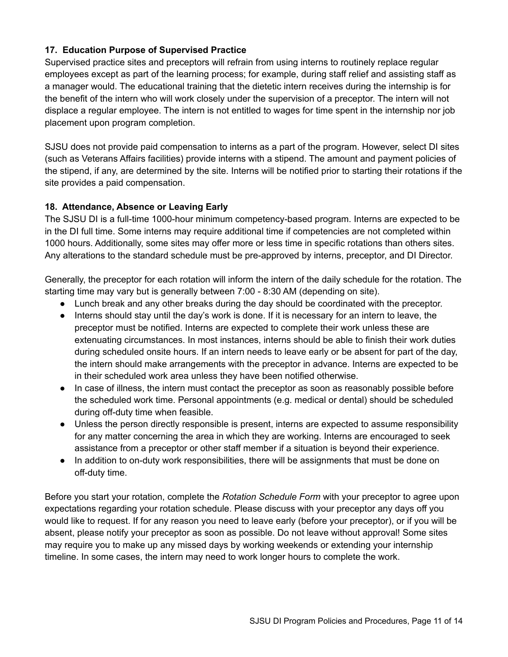### **17. Education Purpose of Supervised Practice**

Supervised practice sites and preceptors will refrain from using interns to routinely replace regular employees except as part of the learning process; for example, during staff relief and assisting staff as a manager would. The educational training that the dietetic intern receives during the internship is for the benefit of the intern who will work closely under the supervision of a preceptor. The intern will not displace a regular employee. The intern is not entitled to wages for time spent in the internship nor job placement upon program completion.

SJSU does not provide paid compensation to interns as a part of the program. However, select DI sites (such as Veterans Affairs facilities) provide interns with a stipend. The amount and payment policies of the stipend, if any, are determined by the site. Interns will be notified prior to starting their rotations if the site provides a paid compensation.

### **18. Attendance, Absence or Leaving Early**

The SJSU DI is a full-time 1000-hour minimum competency-based program. Interns are expected to be in the DI full time. Some interns may require additional time if competencies are not completed within 1000 hours. Additionally, some sites may offer more or less time in specific rotations than others sites. Any alterations to the standard schedule must be pre-approved by interns, preceptor, and DI Director.

Generally, the preceptor for each rotation will inform the intern of the daily schedule for the rotation. The starting time may vary but is generally between 7:00 - 8:30 AM (depending on site).

- Lunch break and any other breaks during the day should be coordinated with the preceptor.
- Interns should stay until the day's work is done. If it is necessary for an intern to leave, the preceptor must be notified. Interns are expected to complete their work unless these are extenuating circumstances. In most instances, interns should be able to finish their work duties during scheduled onsite hours. If an intern needs to leave early or be absent for part of the day, the intern should make arrangements with the preceptor in advance. Interns are expected to be in their scheduled work area unless they have been notified otherwise.
- In case of illness, the intern must contact the preceptor as soon as reasonably possible before the scheduled work time. Personal appointments (e.g. medical or dental) should be scheduled during off-duty time when feasible.
- Unless the person directly responsible is present, interns are expected to assume responsibility for any matter concerning the area in which they are working. Interns are encouraged to seek assistance from a preceptor or other staff member if a situation is beyond their experience.
- In addition to on-duty work responsibilities, there will be assignments that must be done on off-duty time.

Before you start your rotation, complete the *Rotation Schedule Form* with your preceptor to agree upon expectations regarding your rotation schedule. Please discuss with your preceptor any days off you would like to request. If for any reason you need to leave early (before your preceptor), or if you will be absent, please notify your preceptor as soon as possible. Do not leave without approval! Some sites may require you to make up any missed days by working weekends or extending your internship timeline. In some cases, the intern may need to work longer hours to complete the work.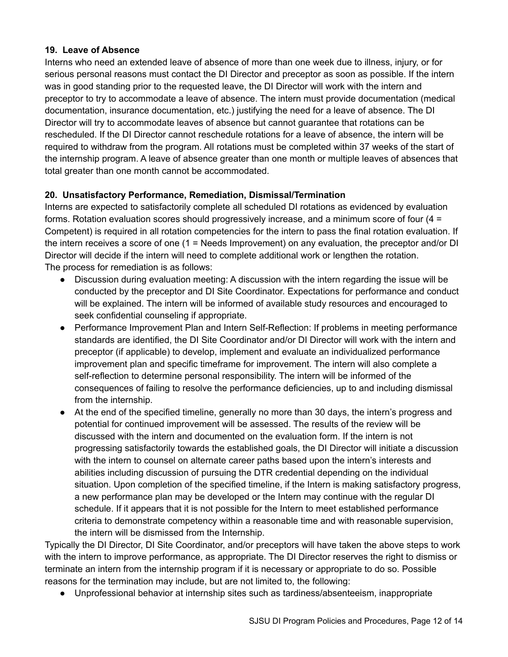### **19. Leave of Absence**

Interns who need an extended leave of absence of more than one week due to illness, injury, or for serious personal reasons must contact the DI Director and preceptor as soon as possible. If the intern was in good standing prior to the requested leave, the DI Director will work with the intern and preceptor to try to accommodate a leave of absence. The intern must provide documentation (medical documentation, insurance documentation, etc.) justifying the need for a leave of absence. The DI Director will try to accommodate leaves of absence but cannot guarantee that rotations can be rescheduled. If the DI Director cannot reschedule rotations for a leave of absence, the intern will be required to withdraw from the program. All rotations must be completed within 37 weeks of the start of the internship program. A leave of absence greater than one month or multiple leaves of absences that total greater than one month cannot be accommodated.

### **20. Unsatisfactory Performance, Remediation, Dismissal/Termination**

Interns are expected to satisfactorily complete all scheduled DI rotations as evidenced by evaluation forms. Rotation evaluation scores should progressively increase, and a minimum score of four (4 = Competent) is required in all rotation competencies for the intern to pass the final rotation evaluation. If the intern receives a score of one (1 = Needs Improvement) on any evaluation, the preceptor and/or DI Director will decide if the intern will need to complete additional work or lengthen the rotation. The process for remediation is as follows:

- Discussion during evaluation meeting: A discussion with the intern regarding the issue will be conducted by the preceptor and DI Site Coordinator. Expectations for performance and conduct will be explained. The intern will be informed of available study resources and encouraged to seek confidential counseling if appropriate.
- Performance Improvement Plan and Intern Self-Reflection: If problems in meeting performance standards are identified, the DI Site Coordinator and/or DI Director will work with the intern and preceptor (if applicable) to develop, implement and evaluate an individualized performance improvement plan and specific timeframe for improvement. The intern will also complete a self-reflection to determine personal responsibility. The intern will be informed of the consequences of failing to resolve the performance deficiencies, up to and including dismissal from the internship.
- At the end of the specified timeline, generally no more than 30 days, the intern's progress and potential for continued improvement will be assessed. The results of the review will be discussed with the intern and documented on the evaluation form. If the intern is not progressing satisfactorily towards the established goals, the DI Director will initiate a discussion with the intern to counsel on alternate career paths based upon the intern's interests and abilities including discussion of pursuing the DTR credential depending on the individual situation. Upon completion of the specified timeline, if the Intern is making satisfactory progress, a new performance plan may be developed or the Intern may continue with the regular DI schedule. If it appears that it is not possible for the Intern to meet established performance criteria to demonstrate competency within a reasonable time and with reasonable supervision, the intern will be dismissed from the Internship.

Typically the DI Director, DI Site Coordinator, and/or preceptors will have taken the above steps to work with the intern to improve performance, as appropriate. The DI Director reserves the right to dismiss or terminate an intern from the internship program if it is necessary or appropriate to do so. Possible reasons for the termination may include, but are not limited to, the following:

● Unprofessional behavior at internship sites such as tardiness/absenteeism, inappropriate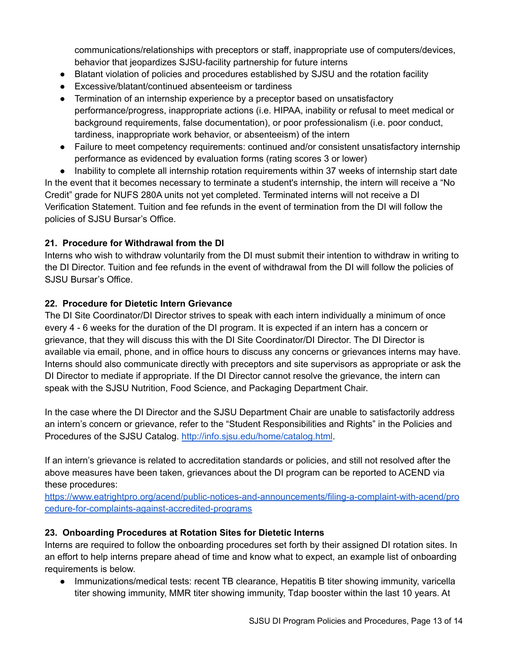communications/relationships with preceptors or staff, inappropriate use of computers/devices, behavior that jeopardizes SJSU-facility partnership for future interns

- Blatant violation of policies and procedures established by SJSU and the rotation facility
- Excessive/blatant/continued absenteeism or tardiness
- Termination of an internship experience by a preceptor based on unsatisfactory performance/progress, inappropriate actions (i.e. HIPAA, inability or refusal to meet medical or background requirements, false documentation), or poor professionalism (i.e. poor conduct, tardiness, inappropriate work behavior, or absenteeism) of the intern
- Failure to meet competency requirements: continued and/or consistent unsatisfactory internship performance as evidenced by evaluation forms (rating scores 3 or lower)

• Inability to complete all internship rotation requirements within 37 weeks of internship start date In the event that it becomes necessary to terminate a student's internship, the intern will receive a "No Credit" grade for NUFS 280A units not yet completed. Terminated interns will not receive a DI Verification Statement. Tuition and fee refunds in the event of termination from the DI will follow the policies of SJSU Bursar's Office.

### **21. Procedure for Withdrawal from the DI**

Interns who wish to withdraw voluntarily from the DI must submit their intention to withdraw in writing to the DI Director. Tuition and fee refunds in the event of withdrawal from the DI will follow the policies of SJSU Bursar's Office.

### **22. Procedure for Dietetic Intern Grievance**

The DI Site Coordinator/DI Director strives to speak with each intern individually a minimum of once every 4 - 6 weeks for the duration of the DI program. It is expected if an intern has a concern or grievance, that they will discuss this with the DI Site Coordinator/DI Director. The DI Director is available via email, phone, and in office hours to discuss any concerns or grievances interns may have. Interns should also communicate directly with preceptors and site supervisors as appropriate or ask the DI Director to mediate if appropriate. If the DI Director cannot resolve the grievance, the intern can speak with the SJSU Nutrition, Food Science, and Packaging Department Chair.

In the case where the DI Director and the SJSU Department Chair are unable to satisfactorily address an intern's concern or grievance, refer to the "Student Responsibilities and Rights" in the Policies and Procedures of the SJSU Catalog. <http://info.sjsu.edu/home/catalog.html>.

If an intern's grievance is related to accreditation standards or policies, and still not resolved after the above measures have been taken, grievances about the DI program can be reported to ACEND via these procedures:

[https://www.eatrightpro.org/acend/public-notices-and-announcements/filing-a-complaint-with-acend/pro](https://www.eatrightpro.org/acend/public-notices-and-announcements/filing-a-complaint-with-acend/procedure-for-complaints-against-accredited-programs) [cedure-for-complaints-against-accredited-programs](https://www.eatrightpro.org/acend/public-notices-and-announcements/filing-a-complaint-with-acend/procedure-for-complaints-against-accredited-programs)

### **23. Onboarding Procedures at Rotation Sites for Dietetic Interns**

Interns are required to follow the onboarding procedures set forth by their assigned DI rotation sites. In an effort to help interns prepare ahead of time and know what to expect, an example list of onboarding requirements is below.

● Immunizations/medical tests: recent TB clearance, Hepatitis B titer showing immunity, varicella titer showing immunity, MMR titer showing immunity, Tdap booster within the last 10 years. At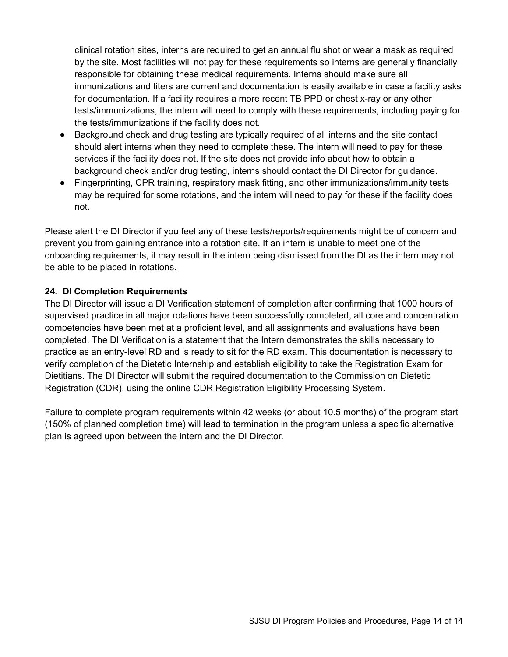clinical rotation sites, interns are required to get an annual flu shot or wear a mask as required by the site. Most facilities will not pay for these requirements so interns are generally financially responsible for obtaining these medical requirements. Interns should make sure all immunizations and titers are current and documentation is easily available in case a facility asks for documentation. If a facility requires a more recent TB PPD or chest x-ray or any other tests/immunizations, the intern will need to comply with these requirements, including paying for the tests/immunizations if the facility does not.

- Background check and drug testing are typically required of all interns and the site contact should alert interns when they need to complete these. The intern will need to pay for these services if the facility does not. If the site does not provide info about how to obtain a background check and/or drug testing, interns should contact the DI Director for guidance.
- Fingerprinting, CPR training, respiratory mask fitting, and other immunizations/immunity tests may be required for some rotations, and the intern will need to pay for these if the facility does not.

Please alert the DI Director if you feel any of these tests/reports/requirements might be of concern and prevent you from gaining entrance into a rotation site. If an intern is unable to meet one of the onboarding requirements, it may result in the intern being dismissed from the DI as the intern may not be able to be placed in rotations.

### **24. DI Completion Requirements**

The DI Director will issue a DI Verification statement of completion after confirming that 1000 hours of supervised practice in all major rotations have been successfully completed, all core and concentration competencies have been met at a proficient level, and all assignments and evaluations have been completed. The DI Verification is a statement that the Intern demonstrates the skills necessary to practice as an entry-level RD and is ready to sit for the RD exam. This documentation is necessary to verify completion of the Dietetic Internship and establish eligibility to take the Registration Exam for Dietitians. The DI Director will submit the required documentation to the Commission on Dietetic Registration (CDR), using the online CDR Registration Eligibility Processing System.

Failure to complete program requirements within 42 weeks (or about 10.5 months) of the program start (150% of planned completion time) will lead to termination in the program unless a specific alternative plan is agreed upon between the intern and the DI Director.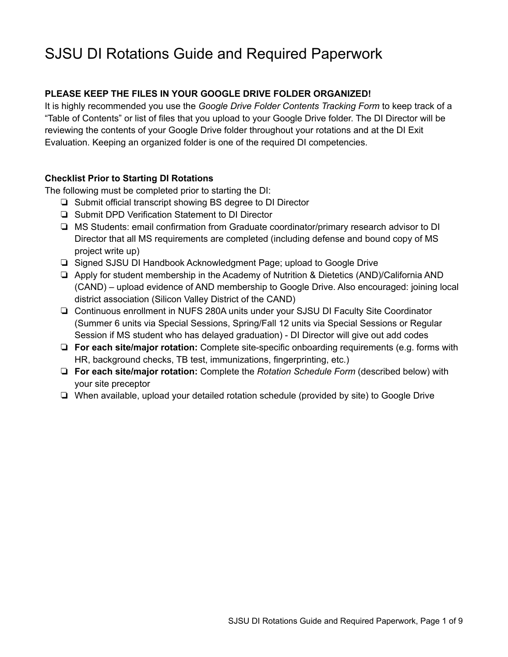## SJSU DI Rotations Guide and Required Paperwork

### **PLEASE KEEP THE FILES IN YOUR GOOGLE DRIVE FOLDER ORGANIZED!**

It is highly recommended you use the *Google Drive Folder Contents Tracking Form* to keep track of a "Table of Contents" or list of files that you upload to your Google Drive folder. The DI Director will be reviewing the contents of your Google Drive folder throughout your rotations and at the DI Exit Evaluation. Keeping an organized folder is one of the required DI competencies.

### **Checklist Prior to Starting DI Rotations**

The following must be completed prior to starting the DI:

- ❏ Submit official transcript showing BS degree to DI Director
- ❏ Submit DPD Verification Statement to DI Director
- ❏ MS Students: email confirmation from Graduate coordinator/primary research advisor to DI Director that all MS requirements are completed (including defense and bound copy of MS project write up)
- ❏ Signed SJSU DI Handbook Acknowledgment Page; upload to Google Drive
- ❏ Apply for student membership in the Academy of Nutrition & Dietetics (AND)/California AND (CAND) – upload evidence of AND membership to Google Drive. Also encouraged: joining local district association (Silicon Valley District of the CAND)
- ❏ Continuous enrollment in NUFS 280A units under your SJSU DI Faculty Site Coordinator (Summer 6 units via Special Sessions, Spring/Fall 12 units via Special Sessions or Regular Session if MS student who has delayed graduation) - DI Director will give out add codes
- ❏ **For each site/major rotation:** Complete site-specific onboarding requirements (e.g. forms with HR, background checks, TB test, immunizations, fingerprinting, etc.)
- ❏ **For each site/major rotation:** Complete the *Rotation Schedule Form* (described below) with your site preceptor
- ❏ When available, upload your detailed rotation schedule (provided by site) to Google Drive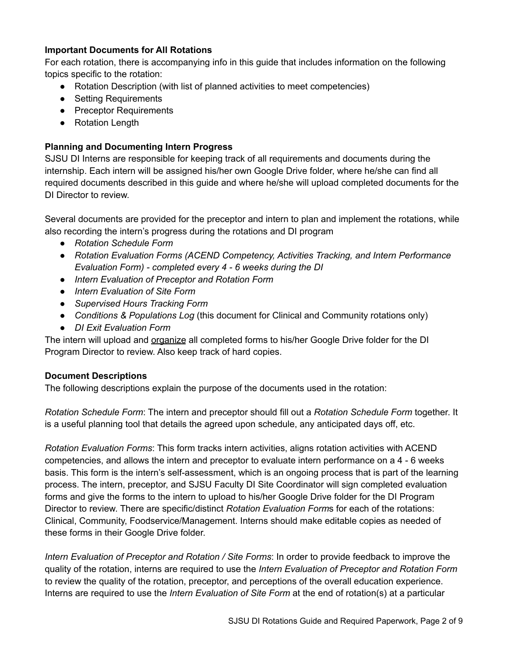### **Important Documents for All Rotations**

For each rotation, there is accompanying info in this guide that includes information on the following topics specific to the rotation:

- Rotation Description (with list of planned activities to meet competencies)
- Setting Requirements
- Preceptor Requirements
- Rotation Length

### **Planning and Documenting Intern Progress**

SJSU DI Interns are responsible for keeping track of all requirements and documents during the internship. Each intern will be assigned his/her own Google Drive folder, where he/she can find all required documents described in this guide and where he/she will upload completed documents for the DI Director to review.

Several documents are provided for the preceptor and intern to plan and implement the rotations, while also recording the intern's progress during the rotations and DI program

- *● Rotation Schedule Form*
- *● Rotation Evaluation Forms (ACEND Competency, Activities Tracking, and Intern Performance Evaluation Form) - completed every 4 - 6 weeks during the DI*
- *● Intern Evaluation of Preceptor and Rotation Form*
- *● Intern Evaluation of Site Form*
- *● Supervised Hours Tracking Form*
- *● Conditions & Populations Log* (this document for Clinical and Community rotations only)
- *● DI Exit Evaluation Form*

The intern will upload and organize all completed forms to his/her Google Drive folder for the DI Program Director to review. Also keep track of hard copies.

### **Document Descriptions**

The following descriptions explain the purpose of the documents used in the rotation:

*Rotation Schedule Form*: The intern and preceptor should fill out a *Rotation Schedule Form* together. It is a useful planning tool that details the agreed upon schedule, any anticipated days off, etc.

*Rotation Evaluation Forms*: This form tracks intern activities, aligns rotation activities with ACEND competencies, and allows the intern and preceptor to evaluate intern performance on a 4 - 6 weeks basis. This form is the intern's self-assessment, which is an ongoing process that is part of the learning process. The intern, preceptor, and SJSU Faculty DI Site Coordinator will sign completed evaluation forms and give the forms to the intern to upload to his/her Google Drive folder for the DI Program Director to review. There are specific/distinct *Rotation Evaluation Form*s for each of the rotations: Clinical, Community, Foodservice/Management. Interns should make editable copies as needed of these forms in their Google Drive folder.

*Intern Evaluation of Preceptor and Rotation / Site Forms*: In order to provide feedback to improve the quality of the rotation, interns are required to use the *Intern Evaluation of Preceptor and Rotation Form* to review the quality of the rotation, preceptor, and perceptions of the overall education experience. Interns are required to use the *Intern Evaluation of Site Form* at the end of rotation(s) at a particular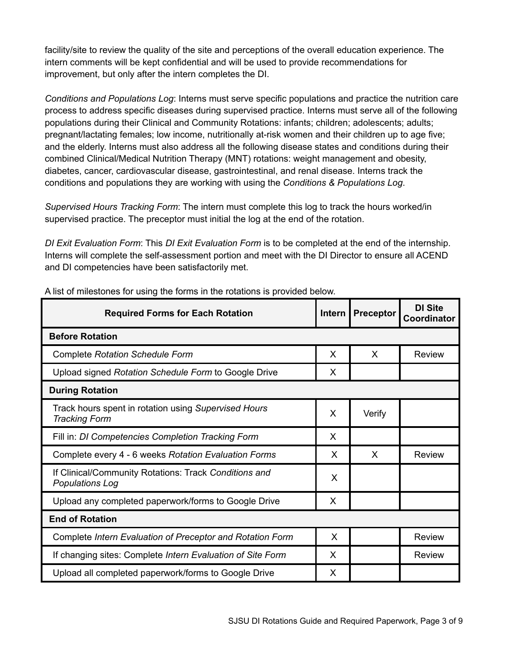facility/site to review the quality of the site and perceptions of the overall education experience. The intern comments will be kept confidential and will be used to provide recommendations for improvement, but only after the intern completes the DI.

*Conditions and Populations Log*: Interns must serve specific populations and practice the nutrition care process to address specific diseases during supervised practice. Interns must serve all of the following populations during their Clinical and Community Rotations: infants; children; adolescents; adults; pregnant/lactating females; low income, nutritionally at-risk women and their children up to age five; and the elderly. Interns must also address all the following disease states and conditions during their combined Clinical/Medical Nutrition Therapy (MNT) rotations: weight management and obesity, diabetes, cancer, cardiovascular disease, gastrointestinal, and renal disease. Interns track the conditions and populations they are working with using the *Conditions & Populations Log*.

*Supervised Hours Tracking Form*: The intern must complete this log to track the hours worked/in supervised practice. The preceptor must initial the log at the end of the rotation.

*DI Exit Evaluation Form*: This *DI Exit Evaluation Form* is to be completed at the end of the internship. Interns will complete the self-assessment portion and meet with the DI Director to ensure all ACEND and DI competencies have been satisfactorily met.

| <b>Required Forms for Each Rotation</b>                                         | <b>Intern</b> | <b>Preceptor</b> | <b>DI Site</b><br>Coordinator |  |  |  |
|---------------------------------------------------------------------------------|---------------|------------------|-------------------------------|--|--|--|
| <b>Before Rotation</b>                                                          |               |                  |                               |  |  |  |
| <b>Complete Rotation Schedule Form</b>                                          | X             | X                | <b>Review</b>                 |  |  |  |
| Upload signed Rotation Schedule Form to Google Drive                            | X             |                  |                               |  |  |  |
| <b>During Rotation</b>                                                          |               |                  |                               |  |  |  |
| Track hours spent in rotation using Supervised Hours<br><b>Tracking Form</b>    | X             | Verify           |                               |  |  |  |
| Fill in: DI Competencies Completion Tracking Form                               | X             |                  |                               |  |  |  |
| Complete every 4 - 6 weeks Rotation Evaluation Forms                            | X             | X                | <b>Review</b>                 |  |  |  |
| If Clinical/Community Rotations: Track Conditions and<br><b>Populations Log</b> | X             |                  |                               |  |  |  |
| Upload any completed paperwork/forms to Google Drive                            | X             |                  |                               |  |  |  |
| <b>End of Rotation</b>                                                          |               |                  |                               |  |  |  |
| Complete Intern Evaluation of Preceptor and Rotation Form                       | X             |                  | <b>Review</b>                 |  |  |  |
| If changing sites: Complete Intern Evaluation of Site Form                      | X             |                  | Review                        |  |  |  |
| Upload all completed paperwork/forms to Google Drive                            | X             |                  |                               |  |  |  |

A list of milestones for using the forms in the rotations is provided below.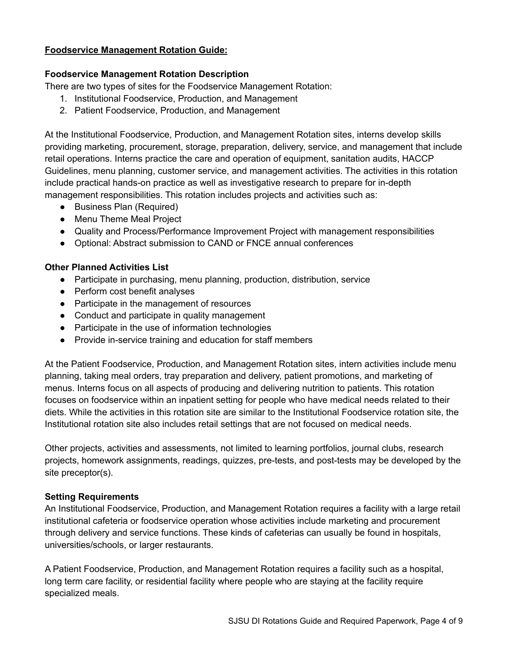### **Foodservice Management Rotation Guide:**

### **Foodservice Management Rotation Description**

There are two types of sites for the Foodservice Management Rotation:

- 1. Institutional Foodservice, Production, and Management
- 2. Patient Foodservice, Production, and Management

At the Institutional Foodservice, Production, and Management Rotation sites, interns develop skills providing marketing, procurement, storage, preparation, delivery, service, and management that include retail operations. Interns practice the care and operation of equipment, sanitation audits, HACCP Guidelines, menu planning, customer service, and management activities. The activities in this rotation include practical hands-on practice as well as investigative research to prepare for in-depth management responsibilities. This rotation includes projects and activities such as:

- Business Plan (Required)
- Menu Theme Meal Project
- Quality and Process/Performance Improvement Project with management responsibilities
- Optional: Abstract submission to CAND or FNCE annual conferences

### **Other Planned Activities List**

- Participate in purchasing, menu planning, production, distribution, service
- Perform cost benefit analyses
- Participate in the management of resources
- Conduct and participate in quality management
- Participate in the use of information technologies
- Provide in-service training and education for staff members

At the Patient Foodservice, Production, and Management Rotation sites, intern activities include menu planning, taking meal orders, tray preparation and delivery, patient promotions, and marketing of menus. Interns focus on all aspects of producing and delivering nutrition to patients. This rotation focuses on foodservice within an inpatient setting for people who have medical needs related to their diets. While the activities in this rotation site are similar to the Institutional Foodservice rotation site, the Institutional rotation site also includes retail settings that are not focused on medical needs.

Other projects, activities and assessments, not limited to learning portfolios, journal clubs, research projects, homework assignments, readings, quizzes, pre-tests, and post-tests may be developed by the site preceptor(s).

#### **Setting Requirements**

An Institutional Foodservice, Production, and Management Rotation requires a facility with a large retail institutional cafeteria or foodservice operation whose activities include marketing and procurement through delivery and service functions. These kinds of cafeterias can usually be found in hospitals, universities/schools, or larger restaurants.

A Patient Foodservice, Production, and Management Rotation requires a facility such as a hospital, long term care facility, or residential facility where people who are staying at the facility require specialized meals.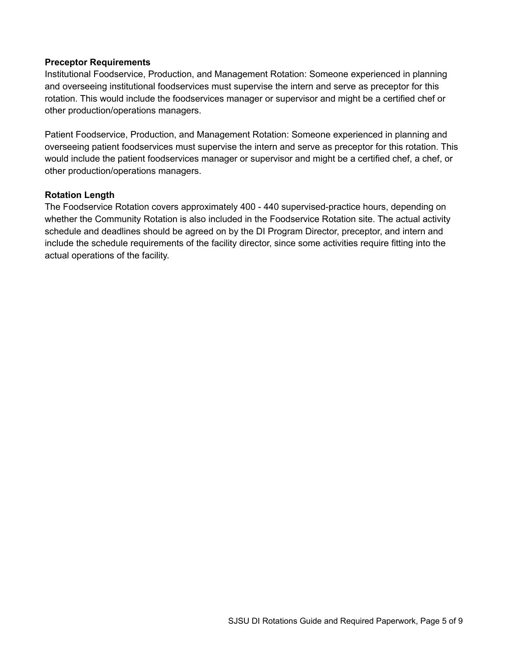### **Preceptor Requirements**

Institutional Foodservice, Production, and Management Rotation: Someone experienced in planning and overseeing institutional foodservices must supervise the intern and serve as preceptor for this rotation. This would include the foodservices manager or supervisor and might be a certified chef or other production/operations managers.

Patient Foodservice, Production, and Management Rotation: Someone experienced in planning and overseeing patient foodservices must supervise the intern and serve as preceptor for this rotation. This would include the patient foodservices manager or supervisor and might be a certified chef, a chef, or other production/operations managers.

### **Rotation Length**

The Foodservice Rotation covers approximately 400 - 440 supervised-practice hours, depending on whether the Community Rotation is also included in the Foodservice Rotation site. The actual activity schedule and deadlines should be agreed on by the DI Program Director, preceptor, and intern and include the schedule requirements of the facility director, since some activities require fitting into the actual operations of the facility.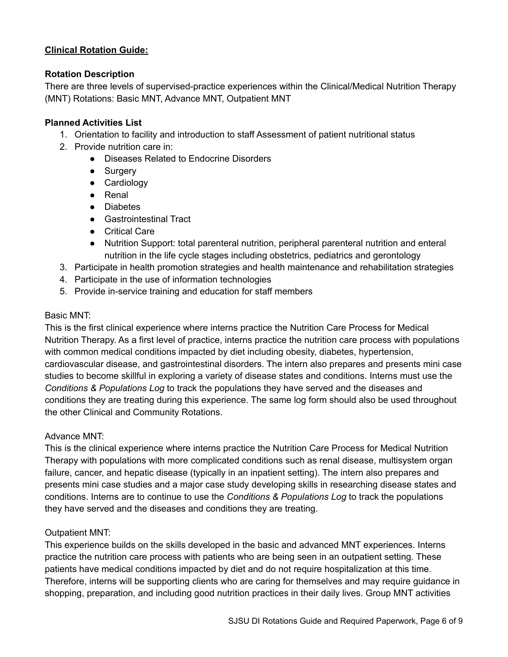### **Clinical Rotation Guide:**

### **Rotation Description**

There are three levels of supervised-practice experiences within the Clinical/Medical Nutrition Therapy (MNT) Rotations: Basic MNT, Advance MNT, Outpatient MNT

### **Planned Activities List**

- 1. Orientation to facility and introduction to staff Assessment of patient nutritional status
- 2. Provide nutrition care in:
	- Diseases Related to Endocrine Disorders
	- Surgery
	- Cardiology
	- Renal
	- Diabetes
	- Gastrointestinal Tract
	- Critical Care
	- Nutrition Support: total parenteral nutrition, peripheral parenteral nutrition and enteral nutrition in the life cycle stages including obstetrics, pediatrics and gerontology
- 3. Participate in health promotion strategies and health maintenance and rehabilitation strategies
- 4. Participate in the use of information technologies
- 5. Provide in-service training and education for staff members

### Basic MNT:

This is the first clinical experience where interns practice the Nutrition Care Process for Medical Nutrition Therapy. As a first level of practice, interns practice the nutrition care process with populations with common medical conditions impacted by diet including obesity, diabetes, hypertension, cardiovascular disease, and gastrointestinal disorders. The intern also prepares and presents mini case studies to become skillful in exploring a variety of disease states and conditions. Interns must use the *Conditions & Populations Log* to track the populations they have served and the diseases and conditions they are treating during this experience. The same log form should also be used throughout the other Clinical and Community Rotations.

### Advance MNT:

This is the clinical experience where interns practice the Nutrition Care Process for Medical Nutrition Therapy with populations with more complicated conditions such as renal disease, multisystem organ failure, cancer, and hepatic disease (typically in an inpatient setting). The intern also prepares and presents mini case studies and a major case study developing skills in researching disease states and conditions. Interns are to continue to use the *Conditions & Populations Log* to track the populations they have served and the diseases and conditions they are treating.

### Outpatient MNT:

This experience builds on the skills developed in the basic and advanced MNT experiences. Interns practice the nutrition care process with patients who are being seen in an outpatient setting. These patients have medical conditions impacted by diet and do not require hospitalization at this time. Therefore, interns will be supporting clients who are caring for themselves and may require guidance in shopping, preparation, and including good nutrition practices in their daily lives. Group MNT activities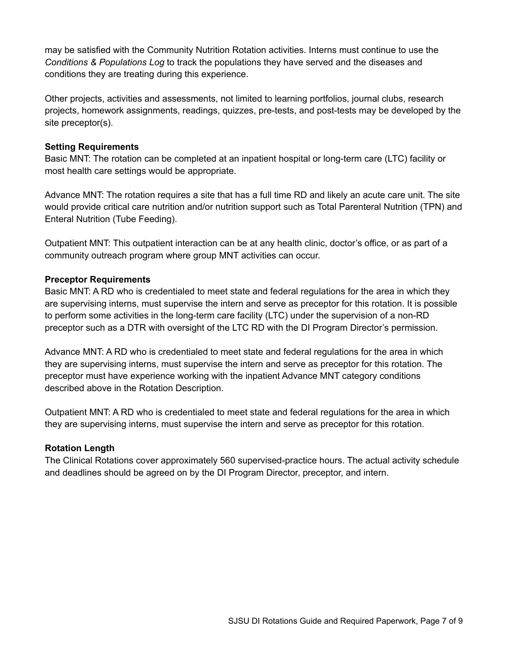may be satisfied with the Community Nutrition Rotation activities. Interns must continue to use the *Conditions & Populations Log* to track the populations they have served and the diseases and conditions they are treating during this experience.

Other projects, activities and assessments, not limited to learning portfolios, journal clubs, research projects, homework assignments, readings, quizzes, pre-tests, and post-tests may be developed by the site preceptor(s).

### **Setting Requirements**

Basic MNT: The rotation can be completed at an inpatient hospital or long-term care (LTC) facility or most health care settings would be appropriate.

Advance MNT: The rotation requires a site that has a full time RD and likely an acute care unit. The site would provide critical care nutrition and/or nutrition support such as Total Parenteral Nutrition (TPN) and Enteral Nutrition (Tube Feeding).

Outpatient MNT: This outpatient interaction can be at any health clinic, doctor's office, or as part of a community outreach program where group MNT activities can occur.

### **Preceptor Requirements**

Basic MNT: A RD who is credentialed to meet state and federal regulations for the area in which they are supervising interns, must supervise the intern and serve as preceptor for this rotation. It is possible to perform some activities in the long-term care facility (LTC) under the supervision of a non-RD preceptor such as a DTR with oversight of the LTC RD with the DI Program Director's permission.

Advance MNT: A RD who is credentialed to meet state and federal regulations for the area in which they are supervising interns, must supervise the intern and serve as preceptor for this rotation. The preceptor must have experience working with the inpatient Advance MNT category conditions described above in the Rotation Description.

Outpatient MNT: A RD who is credentialed to meet state and federal regulations for the area in which they are supervising interns, must supervise the intern and serve as preceptor for this rotation.

### **Rotation Length**

The Clinical Rotations cover approximately 560 supervised-practice hours. The actual activity schedule and deadlines should be agreed on by the DI Program Director, preceptor, and intern.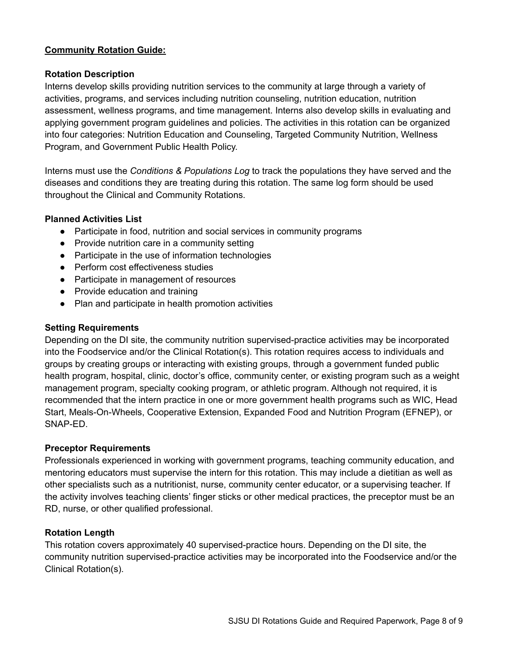### **Community Rotation Guide:**

### **Rotation Description**

Interns develop skills providing nutrition services to the community at large through a variety of activities, programs, and services including nutrition counseling, nutrition education, nutrition assessment, wellness programs, and time management. Interns also develop skills in evaluating and applying government program guidelines and policies. The activities in this rotation can be organized into four categories: Nutrition Education and Counseling, Targeted Community Nutrition, Wellness Program, and Government Public Health Policy.

Interns must use the *Conditions & Populations Log* to track the populations they have served and the diseases and conditions they are treating during this rotation. The same log form should be used throughout the Clinical and Community Rotations.

### **Planned Activities List**

- Participate in food, nutrition and social services in community programs
- Provide nutrition care in a community setting
- Participate in the use of information technologies
- Perform cost effectiveness studies
- Participate in management of resources
- Provide education and training
- Plan and participate in health promotion activities

### **Setting Requirements**

Depending on the DI site, the community nutrition supervised-practice activities may be incorporated into the Foodservice and/or the Clinical Rotation(s). This rotation requires access to individuals and groups by creating groups or interacting with existing groups, through a government funded public health program, hospital, clinic, doctor's office, community center, or existing program such as a weight management program, specialty cooking program, or athletic program. Although not required, it is recommended that the intern practice in one or more government health programs such as WIC, Head Start, Meals-On-Wheels, Cooperative Extension, Expanded Food and Nutrition Program (EFNEP), or SNAP-ED.

#### **Preceptor Requirements**

Professionals experienced in working with government programs, teaching community education, and mentoring educators must supervise the intern for this rotation. This may include a dietitian as well as other specialists such as a nutritionist, nurse, community center educator, or a supervising teacher. If the activity involves teaching clients' finger sticks or other medical practices, the preceptor must be an RD, nurse, or other qualified professional.

### **Rotation Length**

This rotation covers approximately 40 supervised-practice hours. Depending on the DI site, the community nutrition supervised-practice activities may be incorporated into the Foodservice and/or the Clinical Rotation(s).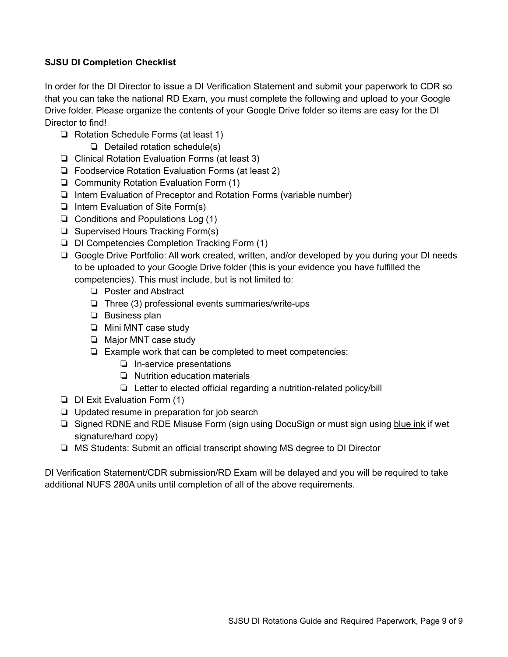### **SJSU DI Completion Checklist**

In order for the DI Director to issue a DI Verification Statement and submit your paperwork to CDR so that you can take the national RD Exam, you must complete the following and upload to your Google Drive folder. Please organize the contents of your Google Drive folder so items are easy for the DI Director to find!

- ❏ Rotation Schedule Forms (at least 1)
	- ❏ Detailed rotation schedule(s)
- ❏ Clinical Rotation Evaluation Forms (at least 3)
- ❏ Foodservice Rotation Evaluation Forms (at least 2)
- ❏ Community Rotation Evaluation Form (1)
- ❏ Intern Evaluation of Preceptor and Rotation Forms (variable number)
- ❏ Intern Evaluation of Site Form(s)
- ❏ Conditions and Populations Log (1)
- ❏ Supervised Hours Tracking Form(s)
- ❏ DI Competencies Completion Tracking Form (1)
- ❏ Google Drive Portfolio: All work created, written, and/or developed by you during your DI needs to be uploaded to your Google Drive folder (this is your evidence you have fulfilled the competencies). This must include, but is not limited to:
	- ❏ Poster and Abstract
	- ❏ Three (3) professional events summaries/write-ups
	- ❏ Business plan
	- ❏ Mini MNT case study
	- ❏ Major MNT case study
	- ❏ Example work that can be completed to meet competencies:
		- ❏ In-service presentations
		- ❏ Nutrition education materials
		- ❏ Letter to elected official regarding a nutrition-related policy/bill
- ❏ DI Exit Evaluation Form (1)
- ❏ Updated resume in preparation for job search
- ❏ Signed RDNE and RDE Misuse Form (sign using DocuSign or must sign using blue ink if wet signature/hard copy)
- ❏ MS Students: Submit an official transcript showing MS degree to DI Director

DI Verification Statement/CDR submission/RD Exam will be delayed and you will be required to take additional NUFS 280A units until completion of all of the above requirements.